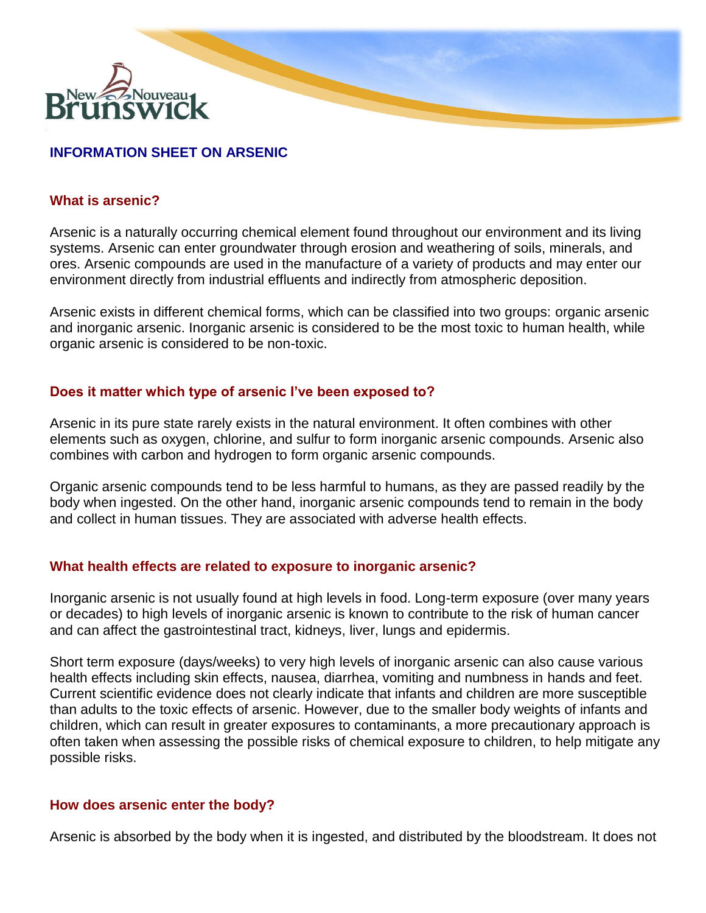

# **INFORMATION SHEET ON ARSENIC**

### **What is arsenic?**

Arsenic is a naturally occurring chemical element found throughout our environment and its living systems. Arsenic can enter groundwater through erosion and weathering of soils, minerals, and ores. Arsenic compounds are used in the manufacture of a variety of products and may enter our environment directly from industrial effluents and indirectly from atmospheric deposition.

Arsenic exists in different chemical forms, which can be classified into two groups: organic arsenic and inorganic arsenic. Inorganic arsenic is considered to be the most toxic to human health, while organic arsenic is considered to be non-toxic.

## **Does it matter which type of arsenic I've been exposed to?**

Arsenic in its pure state rarely exists in the natural environment. It often combines with other elements such as oxygen, chlorine, and sulfur to form inorganic arsenic compounds. Arsenic also combines with carbon and hydrogen to form organic arsenic compounds.

Organic arsenic compounds tend to be less harmful to humans, as they are passed readily by the body when ingested. On the other hand, inorganic arsenic compounds tend to remain in the body and collect in human tissues. They are associated with adverse health effects.

#### **What health effects are related to exposure to inorganic arsenic?**

Inorganic arsenic is not usually found at high levels in food. Long-term exposure (over many years or decades) to high levels of inorganic arsenic is known to contribute to the risk of human cancer and can affect the gastrointestinal tract, kidneys, liver, lungs and epidermis.

Short term exposure (days/weeks) to very high levels of inorganic arsenic can also cause various health effects including skin effects, nausea, diarrhea, vomiting and numbness in hands and feet. Current scientific evidence does not clearly indicate that infants and children are more susceptible than adults to the toxic effects of arsenic. However, due to the smaller body weights of infants and children, which can result in greater exposures to contaminants, a more precautionary approach is often taken when assessing the possible risks of chemical exposure to children, to help mitigate any possible risks.

#### **How does arsenic enter the body?**

Arsenic is absorbed by the body when it is ingested, and distributed by the bloodstream. It does not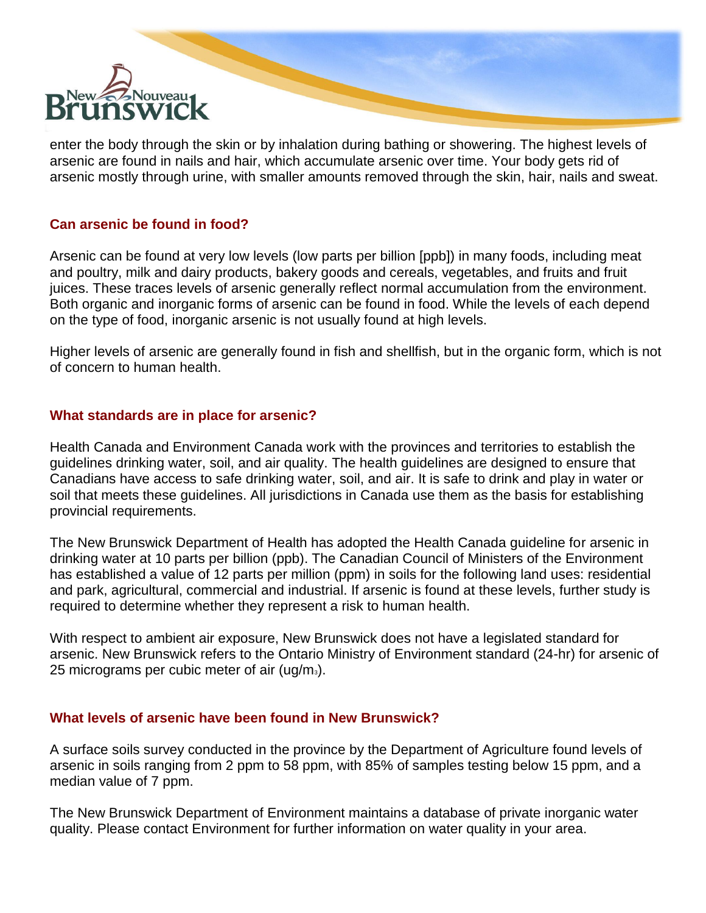

enter the body through the skin or by inhalation during bathing or showering. The highest levels of arsenic are found in nails and hair, which accumulate arsenic over time. Your body gets rid of arsenic mostly through urine, with smaller amounts removed through the skin, hair, nails and sweat.

#### **Can arsenic be found in food?**

Arsenic can be found at very low levels (low parts per billion [ppb]) in many foods, including meat and poultry, milk and dairy products, bakery goods and cereals, vegetables, and fruits and fruit juices. These traces levels of arsenic generally reflect normal accumulation from the environment. Both organic and inorganic forms of arsenic can be found in food. While the levels of each depend on the type of food, inorganic arsenic is not usually found at high levels.

Higher levels of arsenic are generally found in fish and shellfish, but in the organic form, which is not of concern to human health.

## **What standards are in place for arsenic?**

Health Canada and Environment Canada work with the provinces and territories to establish the guidelines drinking water, soil, and air quality. The health guidelines are designed to ensure that Canadians have access to safe drinking water, soil, and air. It is safe to drink and play in water or soil that meets these guidelines. All jurisdictions in Canada use them as the basis for establishing provincial requirements.

The New Brunswick Department of Health has adopted the Health Canada guideline for arsenic in drinking water at 10 parts per billion (ppb). The Canadian Council of Ministers of the Environment has established a value of 12 parts per million (ppm) in soils for the following land uses: residential and park, agricultural, commercial and industrial. If arsenic is found at these levels, further study is required to determine whether they represent a risk to human health.

With respect to ambient air exposure, New Brunswick does not have a legislated standard for arsenic. New Brunswick refers to the Ontario Ministry of Environment standard (24-hr) for arsenic of 25 micrograms per cubic meter of air  $(ug/m<sub>3</sub>)$ .

#### **What levels of arsenic have been found in New Brunswick?**

A surface soils survey conducted in the province by the Department of Agriculture found levels of arsenic in soils ranging from 2 ppm to 58 ppm, with 85% of samples testing below 15 ppm, and a median value of 7 ppm.

The New Brunswick Department of Environment maintains a database of private inorganic water quality. Please contact Environment for further information on water quality in your area.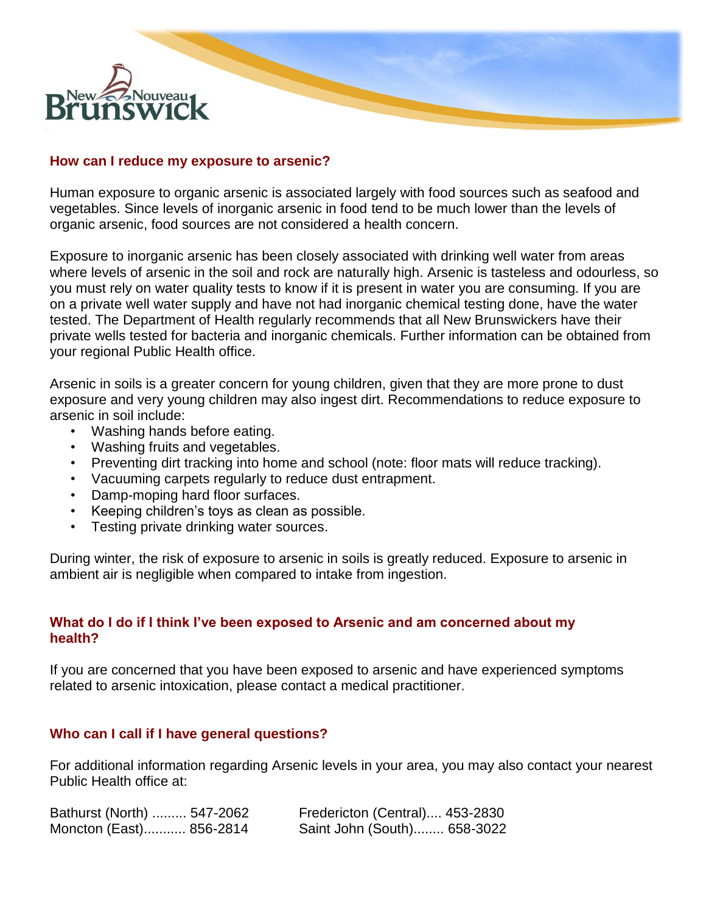

#### **How can I reduce my exposure to arsenic?**

Human exposure to organic arsenic is associated largely with food sources such as seafood and vegetables. Since levels of inorganic arsenic in food tend to be much lower than the levels of organic arsenic, food sources are not considered a health concern.

Exposure to inorganic arsenic has been closely associated with drinking well water from areas where levels of arsenic in the soil and rock are naturally high. Arsenic is tasteless and odourless, so you must rely on water quality tests to know if it is present in water you are consuming. If you are on a private well water supply and have not had inorganic chemical testing done, have the water tested. The Department of Health regularly recommends that all New Brunswickers have their private wells tested for bacteria and inorganic chemicals. Further information can be obtained from your regional Public Health office.

Arsenic in soils is a greater concern for young children, given that they are more prone to dust exposure and very young children may also ingest dirt. Recommendations to reduce exposure to arsenic in soil include:

- Washing hands before eating.
- Washing fruits and vegetables.
- Preventing dirt tracking into home and school (note: floor mats will reduce tracking).
- Vacuuming carpets regularly to reduce dust entrapment.
- Damp-moping hard floor surfaces.
- Keeping children's toys as clean as possible.
- Testing private drinking water sources.

During winter, the risk of exposure to arsenic in soils is greatly reduced. Exposure to arsenic in ambient air is negligible when compared to intake from ingestion.

#### **What do I do if I think I've been exposed to Arsenic and am concerned about my health?**

If you are concerned that you have been exposed to arsenic and have experienced symptoms related to arsenic intoxication, please contact a medical practitioner.

#### **Who can I call if I have general questions?**

For additional information regarding Arsenic levels in your area, you may also contact your nearest Public Health office at:

| Bathurst (North)  547-2062 | Fredericton (Central) 453-2830 |  |
|----------------------------|--------------------------------|--|
| Moncton (East) 856-2814    | Saint John (South) 658-3022    |  |